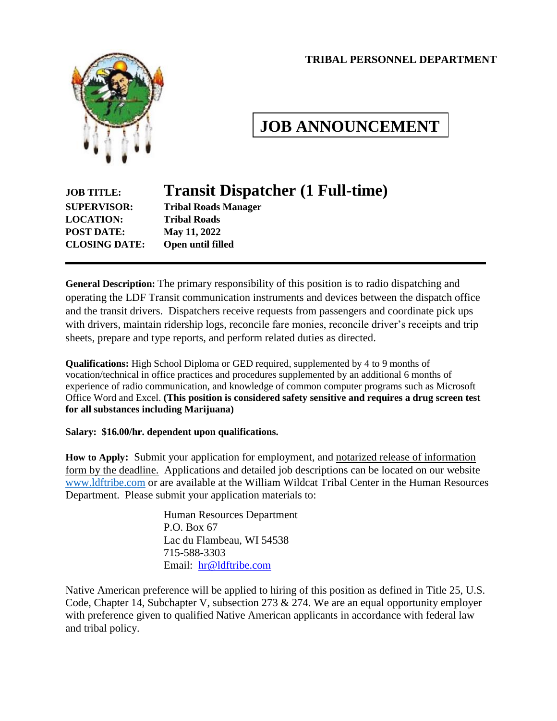

# **JOB ANNOUNCEMENT**

## **JOB TITLE: Transit Dispatcher (1 Full-time)**

**LOCATION: Tribal Roads POST DATE: May 11, 2022 CLOSING DATE: Open until filled**

**SUPERVISOR: Tribal Roads Manager**

**General Description:** The primary responsibility of this position is to radio dispatching and operating the LDF Transit communication instruments and devices between the dispatch office and the transit drivers. Dispatchers receive requests from passengers and coordinate pick ups with drivers, maintain ridership logs, reconcile fare monies, reconcile driver's receipts and trip sheets, prepare and type reports, and perform related duties as directed.

**Qualifications:** High School Diploma or GED required, supplemented by 4 to 9 months of vocation/technical in office practices and procedures supplemented by an additional 6 months of experience of radio communication, and knowledge of common computer programs such as Microsoft Office Word and Excel. **(This position is considered safety sensitive and requires a drug screen test for all substances including Marijuana)**

#### **Salary: \$16.00/hr. dependent upon qualifications.**

**How to Apply:** Submit your application for employment, and notarized release of information form by the deadline. Applications and detailed job descriptions can be located on our website [www.ldftribe.com](http://www.ldftribe.com/) or are available at the William Wildcat Tribal Center in the Human Resources Department. Please submit your application materials to:

> Human Resources Department P.O. Box 67 Lac du Flambeau, WI 54538 715-588-3303 Email: [hr@ldftribe.com](mailto:hr@ldftribe.com)

Native American preference will be applied to hiring of this position as defined in Title 25, U.S. Code, Chapter 14, Subchapter V, subsection 273 & 274. We are an equal opportunity employer with preference given to qualified Native American applicants in accordance with federal law and tribal policy.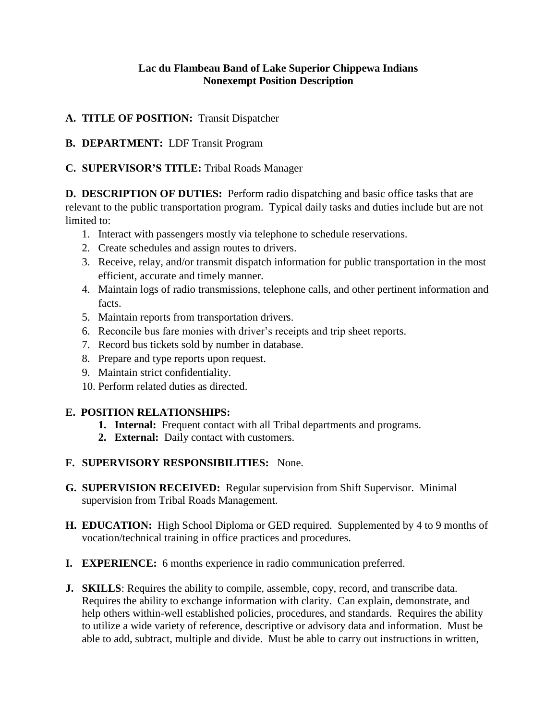#### **Lac du Flambeau Band of Lake Superior Chippewa Indians Nonexempt Position Description**

- **A. TITLE OF POSITION:** Transit Dispatcher
- **B. DEPARTMENT:** LDF Transit Program
- **C. SUPERVISOR'S TITLE:** Tribal Roads Manager

**D. DESCRIPTION OF DUTIES:** Perform radio dispatching and basic office tasks that are relevant to the public transportation program. Typical daily tasks and duties include but are not limited to:

- 1. Interact with passengers mostly via telephone to schedule reservations.
- 2. Create schedules and assign routes to drivers.
- 3. Receive, relay, and/or transmit dispatch information for public transportation in the most efficient, accurate and timely manner.
- 4. Maintain logs of radio transmissions, telephone calls, and other pertinent information and facts.
- 5. Maintain reports from transportation drivers.
- 6. Reconcile bus fare monies with driver's receipts and trip sheet reports.
- 7. Record bus tickets sold by number in database.
- 8. Prepare and type reports upon request.
- 9. Maintain strict confidentiality.
- 10. Perform related duties as directed.

#### **E. POSITION RELATIONSHIPS:**

- **1. Internal:** Frequent contact with all Tribal departments and programs.
- **2. External:** Daily contact with customers.
- **F. SUPERVISORY RESPONSIBILITIES:** None.
- **G. SUPERVISION RECEIVED:** Regular supervision from Shift Supervisor. Minimal supervision from Tribal Roads Management.
- **H. EDUCATION:** High School Diploma or GED required. Supplemented by 4 to 9 months of vocation/technical training in office practices and procedures.
- **I. EXPERIENCE:** 6 months experience in radio communication preferred.
- **J. SKILLS**: Requires the ability to compile, assemble, copy, record, and transcribe data. Requires the ability to exchange information with clarity. Can explain, demonstrate, and help others within-well established policies, procedures, and standards. Requires the ability to utilize a wide variety of reference, descriptive or advisory data and information. Must be able to add, subtract, multiple and divide. Must be able to carry out instructions in written,